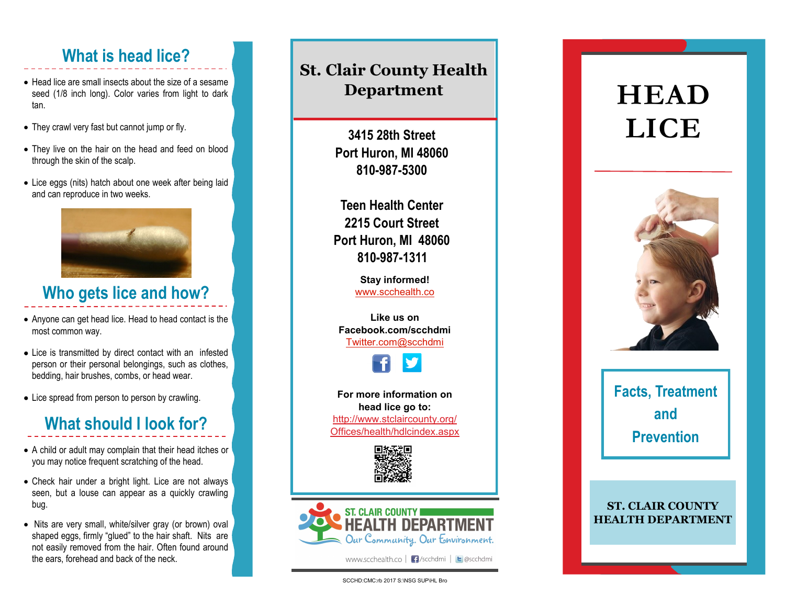### **What is head lice?**

- Head lice are small insects about the size of a sesame seed (1/8 inch long). Color varies from light to dark tan.
- They crawl very fast but cannot jump or fly.
- They live on the hair on the head and feed on blood through the skin of the scalp.
- Lice eggs (nits) hatch about one week after being laid and can reproduce in two weeks.



### **Who gets lice and how?**

- Anyone can get head lice. Head to head contact is the most common way.
- Lice is transmitted by direct contact with an infested person or their personal belongings, such as clothes, bedding, hair brushes, combs, or head wear.
- Lice spread from person to person by crawling.

## **What should I look for?**

- A child or adult may complain that their head itches or you may notice frequent scratching of the head.
- Check hair under a bright light. Lice are not always seen, but a louse can appear as a quickly crawling bug.
- Nits are very small, white/silver gray (or brown) oval shaped eggs, firmly "glued" to the hair shaft. Nits are not easily removed from the hair. Often found around the ears, forehead and back of the neck.

#### **St. Clair County Health Department**

**3415 28th Street Port Huron, MI 48060 810-987-5300**

**Teen Health Center 2215 Court Street Port Huron, MI 48060 810-987-1311**

> **Stay informed!** [www.scchealth.co](http://www.scchealth.co)

**Like us on Facebook.com/scchdmi** [Twitter.com@scchdmi](mailto:Twitter.com@scchdmi)



**For more information on head lice go to:** http://www.stclaircounty.org/ Offices/health/hdlcindex.aspx





www.scchealth.co | F /scchdmi | E @scchdmi

# **HEAD LICE**



**Facts, Treatment and Prevention**

#### **ST. CLAIR COUNTY HEALTH DEPARTMENT**

SCCHD:CMC:rb 2017 S:\NSG SUP\HL Bro